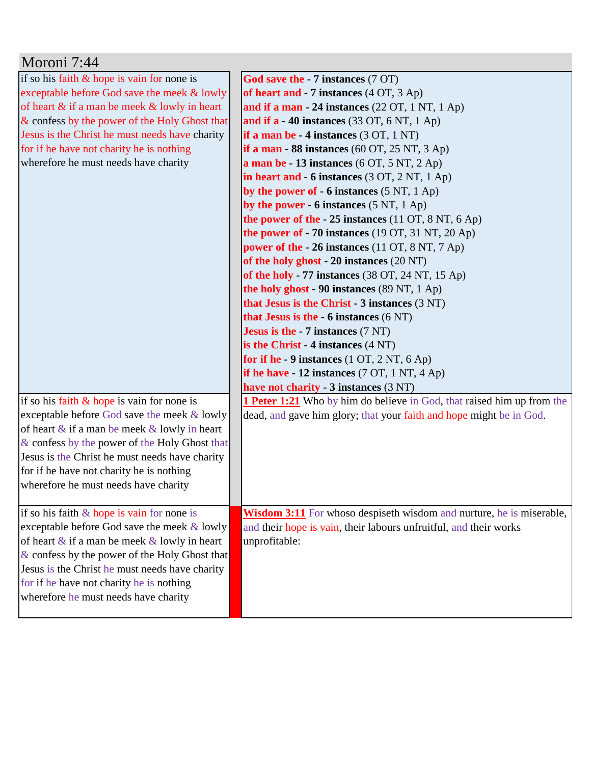| Moroni 7:44                                        |                                                                               |
|----------------------------------------------------|-------------------------------------------------------------------------------|
| if so his faith $&$ hope is vain for none is       | God save the - 7 instances (7 OT)                                             |
| exceptable before God save the meek & lowly        | of heart and - 7 instances (4 OT, 3 Ap)                                       |
| of heart & if a man be meek & lowly in heart       | and if a man - 24 instances $(22 \text{ OT}, 1 \text{ NT}, 1 \text{ Ap})$     |
| & confess by the power of the Holy Ghost that      | and if $a - 40$ instances (33 OT, 6 NT, 1 Ap)                                 |
| Jesus is the Christ he must needs have charity     | if a man be - 4 instances (3 OT, 1 NT)                                        |
| for if he have not charity he is nothing           | if a man - 88 instances $(60$ OT, $25$ NT, $3$ Ap)                            |
| wherefore he must needs have charity               | a man be $-13$ instances (6 OT, 5 NT, 2 Ap)                                   |
|                                                    | in heart and $-6$ instances (3 OT, 2 NT, 1 Ap)                                |
|                                                    | by the power of $-6$ instances (5 NT, 1 Ap)                                   |
|                                                    | by the power - $6$ instances $(5 \text{ NT}, 1 \text{ Ap})$                   |
|                                                    | the power of the $-25$ instances (11 OT, 8 NT, 6 Ap)                          |
|                                                    | the power of - 70 instances (19 OT, 31 NT, 20 Ap)                             |
|                                                    | power of the - 26 instances (11 OT, 8 NT, 7 Ap)                               |
|                                                    | of the holy ghost - 20 instances (20 NT)                                      |
|                                                    | of the holy - 77 instances $(38 \text{ OT}, 24 \text{ NT}, 15 \text{ Ap})$    |
|                                                    | the holy ghost - 90 instances (89 NT, 1 Ap)                                   |
|                                                    | that Jesus is the Christ $-3$ instances $(3 \text{ NT})$                      |
|                                                    | that Jesus is the $-6$ instances $(6 \text{ NT})$                             |
|                                                    | <b>Jesus is the - 7 instances</b> $(7 \text{ NT})$                            |
|                                                    | is the Christ $-4$ instances $(4 \text{ NT})$                                 |
|                                                    | for if he - 9 instances $(1 OT, 2 NT, 6 Ap)$                                  |
|                                                    | if he have $-12$ instances (7 OT, 1 NT, 4 Ap)                                 |
|                                                    | have not charity - 3 instances (3 NT)                                         |
| if so his faith $&$ hope is vain for none is       | <b>1 Peter 1:21</b> Who by him do believe in God, that raised him up from the |
| exceptable before God save the meek & lowly        | dead, and gave him glory; that your faith and hope might be in God.           |
| of heart $\&$ if a man be meek $\&$ lowly in heart |                                                                               |
| & confess by the power of the Holy Ghost that      |                                                                               |
| Jesus is the Christ he must needs have charity     |                                                                               |
| for if he have not charity he is nothing           |                                                                               |
| wherefore he must needs have charity               |                                                                               |
|                                                    |                                                                               |
| if so his faith $&$ hope is vain for none is       | <b>Wisdom 3:11</b> For whoso despiseth wisdom and nurture, he is miserable,   |
| exceptable before God save the meek & lowly        | and their hope is vain, their labours unfruitful, and their works             |
| of heart $\&$ if a man be meek $\&$ lowly in heart | unprofitable:                                                                 |
| & confess by the power of the Holy Ghost that      |                                                                               |
| Jesus is the Christ he must needs have charity     |                                                                               |
| for if he have not charity he is nothing           |                                                                               |
| wherefore he must needs have charity               |                                                                               |
|                                                    |                                                                               |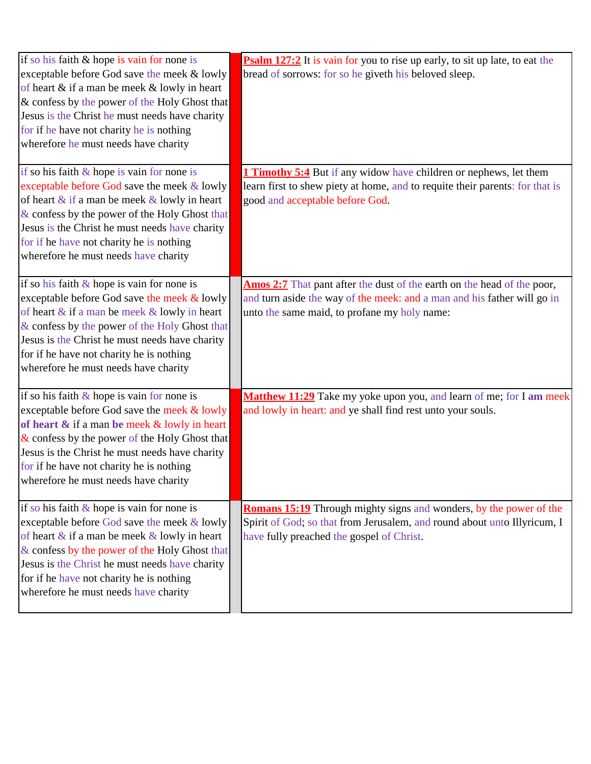| if so his faith & hope is vain for none is<br>exceptable before God save the meek & lowly<br>of heart & if a man be meek & lowly in heart<br>& confess by the power of the Holy Ghost that<br>Jesus is the Christ he must needs have charity<br>for if he have not charity he is nothing<br>wherefore he must needs have charity       | <b>Psalm 127:2</b> It is vain for you to rise up early, to sit up late, to eat the<br>bread of sorrows: for so he giveth his beloved sleep.                                                        |
|----------------------------------------------------------------------------------------------------------------------------------------------------------------------------------------------------------------------------------------------------------------------------------------------------------------------------------------|----------------------------------------------------------------------------------------------------------------------------------------------------------------------------------------------------|
| if so his faith $\&$ hope is vain for none is<br>exceptable before God save the meek & lowly<br>of heart & if a man be meek & lowly in heart<br>& confess by the power of the Holy Ghost that<br>Jesus is the Christ he must needs have charity<br>for if he have not charity he is nothing<br>wherefore he must needs have charity    | <b>Timothy 5:4</b> But if any widow have children or nephews, let them<br>learn first to shew piety at home, and to requite their parents: for that is<br>good and acceptable before God.          |
| if so his faith $\&$ hope is vain for none is<br>exceptable before God save the meek & lowly<br>of heart & if a man be meek & lowly in heart<br>& confess by the power of the Holy Ghost that<br>Jesus is the Christ he must needs have charity<br>for if he have not charity he is nothing<br>wherefore he must needs have charity    | Amos 2:7 That pant after the dust of the earth on the head of the poor,<br>and turn aside the way of the meek: and a man and his father will go in<br>unto the same maid, to profane my holy name: |
| if so his faith $&$ hope is vain for none is<br>exceptable before God save the meek & lowly<br>of heart & if a man be meek & lowly in heart<br>$\&$ confess by the power of the Holy Ghost that<br>Jesus is the Christ he must needs have charity<br>for if he have not charity he is nothing<br>wherefore he must needs have charity  | Matthew 11:29 Take my yoke upon you, and learn of me; for I am meek<br>and lowly in heart: and ye shall find rest unto your souls.                                                                 |
| if so his faith & hope is vain for none is<br>exceptable before God save the meek & lowly<br>of heart $\&$ if a man be meek $\&$ lowly in heart<br>& confess by the power of the Holy Ghost that<br>Jesus is the Christ he must needs have charity<br>for if he have not charity he is nothing<br>wherefore he must needs have charity | <b>Romans 15:19</b> Through mighty signs and wonders, by the power of the<br>Spirit of God; so that from Jerusalem, and round about unto Illyricum, I<br>have fully preached the gospel of Christ. |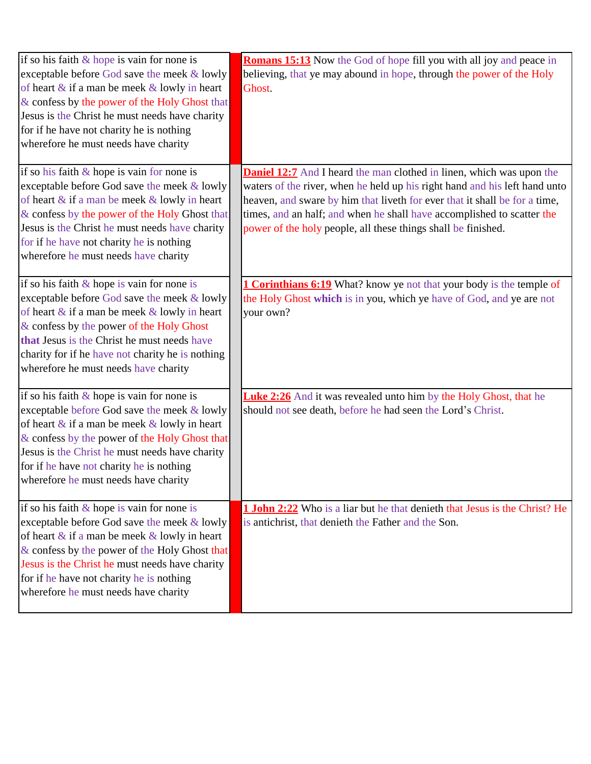| if so his faith $&$ hope is vain for none is<br>exceptable before God save the meek & lowly<br>of heart $\&$ if a man be meek $\&$ lowly in heart<br>& confess by the power of the Holy Ghost that<br>Jesus is the Christ he must needs have charity<br>for if he have not charity he is nothing<br>wherefore he must needs have charity  | <b>Romans 15:13</b> Now the God of hope fill you with all joy and peace in<br>believing, that ye may abound in hope, through the power of the Holy<br>Ghost.                                                                                                                                                                                                                       |
|-------------------------------------------------------------------------------------------------------------------------------------------------------------------------------------------------------------------------------------------------------------------------------------------------------------------------------------------|------------------------------------------------------------------------------------------------------------------------------------------------------------------------------------------------------------------------------------------------------------------------------------------------------------------------------------------------------------------------------------|
| if so his faith $\&$ hope is vain for none is<br>exceptable before God save the meek & lowly<br>of heart $\&$ if a man be meek $\&$ lowly in heart<br>& confess by the power of the Holy Ghost that<br>Jesus is the Christ he must needs have charity<br>for if he have not charity he is nothing<br>wherefore he must needs have charity | <b>Daniel 12:7</b> And I heard the man clothed in linen, which was upon the<br>waters of the river, when he held up his right hand and his left hand unto<br>heaven, and sware by him that liveth for ever that it shall be for a time,<br>times, and an half; and when he shall have accomplished to scatter the<br>power of the holy people, all these things shall be finished. |
| if so his faith $\&$ hope is vain for none is<br>exceptable before God save the meek & lowly<br>of heart $\&$ if a man be meek $\&$ lowly in heart<br>& confess by the power of the Holy Ghost<br>that Jesus is the Christ he must needs have<br>charity for if he have not charity he is nothing<br>wherefore he must needs have charity | <b>1 Corinthians 6:19</b> What? know ye not that your body is the temple of<br>the Holy Ghost which is in you, which ye have of God, and ye are not<br>your own?                                                                                                                                                                                                                   |
| if so his faith $\&$ hope is vain for none is<br>exceptable before God save the meek & lowly<br>of heart $\&$ if a man be meek $\&$ lowly in heart<br>& confess by the power of the Holy Ghost that<br>Jesus is the Christ he must needs have charity<br>for if he have not charity he is nothing<br>wherefore he must needs have charity | <b>Luke 2:26</b> And it was revealed unto him by the Holy Ghost, that he<br>should not see death, before he had seen the Lord's Christ.                                                                                                                                                                                                                                            |
| if so his faith & hope is vain for none is<br>exceptable before God save the meek & lowly<br>of heart & if a man be meek & lowly in heart<br>& confess by the power of the Holy Ghost that<br>Jesus is the Christ he must needs have charity<br>for if he have not charity he is nothing<br>wherefore he must needs have charity          | <b>1 John 2:22</b> Who is a liar but he that denieth that Jesus is the Christ? He<br>is antichrist, that denieth the Father and the Son.                                                                                                                                                                                                                                           |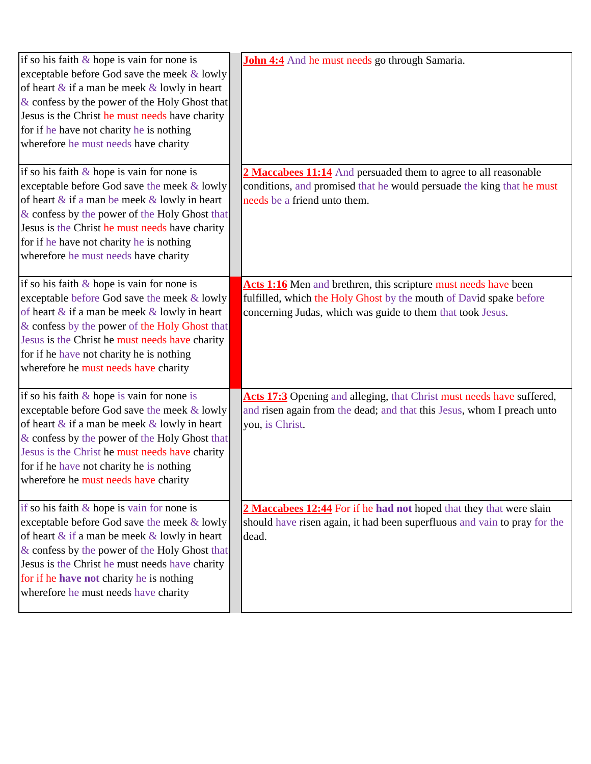| if so his faith $\&$ hope is vain for none is<br>exceptable before God save the meek & lowly<br>of heart $\&$ if a man be meek $\&$ lowly in heart<br>$\&$ confess by the power of the Holy Ghost that<br>Jesus is the Christ he must needs have charity<br>for if he have not charity he is nothing<br>wherefore he must needs have charity | <b>John 4:4</b> And he must needs go through Samaria.                                                                                                                                               |
|----------------------------------------------------------------------------------------------------------------------------------------------------------------------------------------------------------------------------------------------------------------------------------------------------------------------------------------------|-----------------------------------------------------------------------------------------------------------------------------------------------------------------------------------------------------|
| if so his faith $\&$ hope is vain for none is<br>exceptable before God save the meek & lowly<br>of heart $\&$ if a man be meek $\&$ lowly in heart<br>& confess by the power of the Holy Ghost that<br>Jesus is the Christ he must needs have charity<br>for if he have not charity he is nothing<br>wherefore he must needs have charity    | 2 Maccabees 11:14 And persuaded them to agree to all reasonable<br>conditions, and promised that he would persuade the king that he must<br>needs be a friend unto them.                            |
| if so his faith $&$ hope is vain for none is<br>exceptable before God save the meek & lowly<br>of heart $\&$ if a man be meek $\&$ lowly in heart<br>& confess by the power of the Holy Ghost that<br>Jesus is the Christ he must needs have charity<br>for if he have not charity he is nothing<br>wherefore he must needs have charity     | Acts 1:16 Men and brethren, this scripture must needs have been<br>fulfilled, which the Holy Ghost by the mouth of David spake before<br>concerning Judas, which was guide to them that took Jesus. |
| if so his faith $\&$ hope is vain for none is<br>exceptable before God save the meek & lowly<br>of heart $\&$ if a man be meek $\&$ lowly in heart<br>& confess by the power of the Holy Ghost that<br>Jesus is the Christ he must needs have charity<br>for if he have not charity he is nothing<br>wherefore he must needs have charity    | Acts 17:3 Opening and alleging, that Christ must needs have suffered,<br>and risen again from the dead; and that this Jesus, whom I preach unto<br>you, is Christ.                                  |
| if so his faith $\&$ hope is vain for none is<br>exceptable before God save the meek & lowly<br>of heart $\&$ if a man be meek $\&$ lowly in heart<br>& confess by the power of the Holy Ghost that<br>Jesus is the Christ he must needs have charity<br>for if he have not charity he is nothing<br>wherefore he must needs have charity    | 2 Maccabees 12:44 For if he had not hoped that they that were slain<br>should have risen again, it had been superfluous and vain to pray for the<br>dead.                                           |